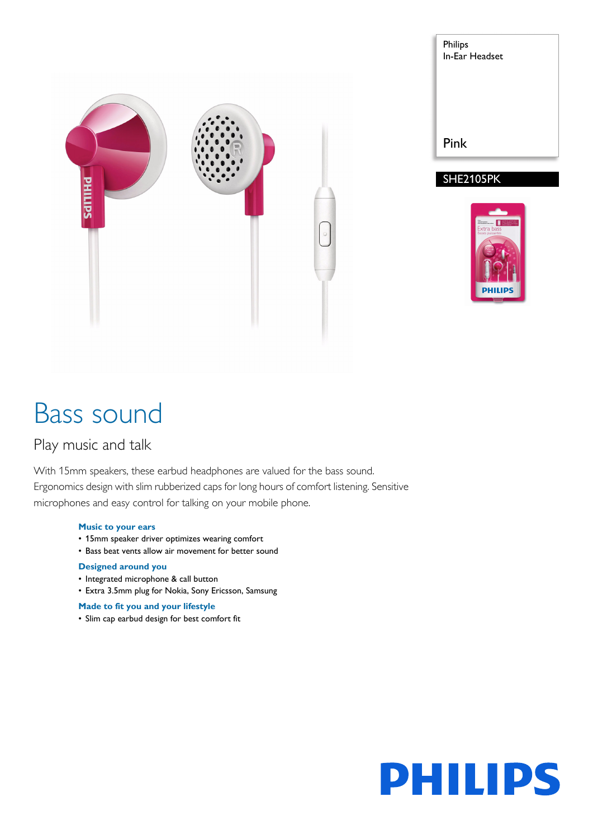

| <b>Philips</b><br>In-Ear Headset |
|----------------------------------|
|                                  |
| Pink<br><b>SHE2105PK</b>         |



# Bass sound

# Play music and talk

With 15mm speakers, these earbud headphones are valued for the bass sound. Ergonomics design with slim rubberized caps for long hours of comfort listening. Sensitive microphones and easy control for talking on your mobile phone.

# **Music to your ears**

- 15mm speaker driver optimizes wearing comfort
- Bass beat vents allow air movement for better sound

# **Designed around you**

- Integrated microphone & call button
- Extra 3.5mm plug for Nokia, Sony Ericsson, Samsung

# **Made to fit you and your lifestyle**

• Slim cap earbud design for best comfort fit